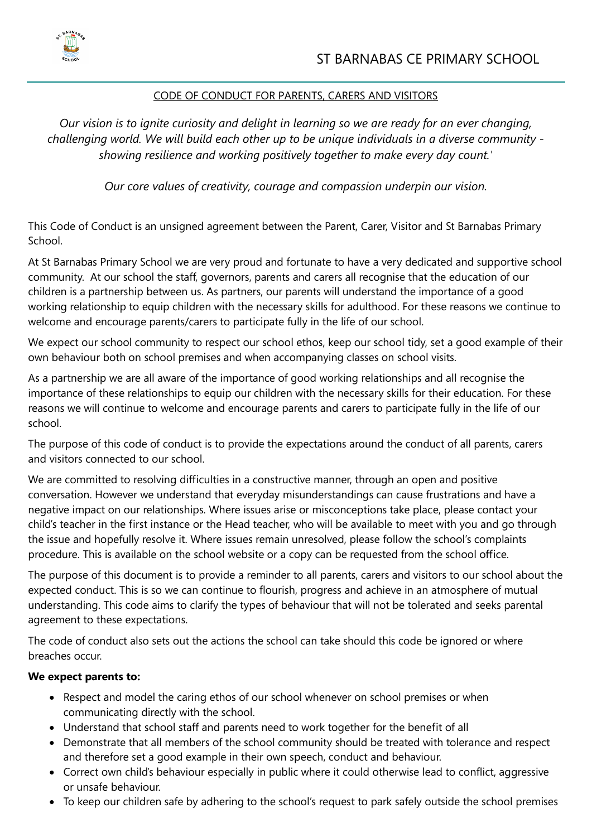

## CODE OF CONDUCT FOR PARENTS, CARERS AND VISITORS

*Our vision is to ignite curiosity and delight in learning so we are ready for an ever changing, challenging world. We will build each other up to be unique individuals in a diverse community showing resilience and working positively together to make every day count.'*

*Our core values of creativity, courage and compassion underpin our vision.*

This Code of Conduct is an unsigned agreement between the Parent, Carer, Visitor and St Barnabas Primary School.

At St Barnabas Primary School we are very proud and fortunate to have a very dedicated and supportive school community. At our school the staff, governors, parents and carers all recognise that the education of our children is a partnership between us. As partners, our parents will understand the importance of a good working relationship to equip children with the necessary skills for adulthood. For these reasons we continue to welcome and encourage parents/carers to participate fully in the life of our school.

We expect our school community to respect our school ethos, keep our school tidy, set a good example of their own behaviour both on school premises and when accompanying classes on school visits.

As a partnership we are all aware of the importance of good working relationships and all recognise the importance of these relationships to equip our children with the necessary skills for their education. For these reasons we will continue to welcome and encourage parents and carers to participate fully in the life of our school.

The purpose of this code of conduct is to provide the expectations around the conduct of all parents, carers and visitors connected to our school.

We are committed to resolving difficulties in a constructive manner, through an open and positive conversation. However we understand that everyday misunderstandings can cause frustrations and have a negative impact on our relationships. Where issues arise or misconceptions take place, please contact your child's teacher in the first instance or the Head teacher, who will be available to meet with you and go through the issue and hopefully resolve it. Where issues remain unresolved, please follow the school's complaints procedure. This is available on the school website or a copy can be requested from the school office.

The purpose of this document is to provide a reminder to all parents, carers and visitors to our school about the expected conduct. This is so we can continue to flourish, progress and achieve in an atmosphere of mutual understanding. This code aims to clarify the types of behaviour that will not be tolerated and seeks parental agreement to these expectations.

The code of conduct also sets out the actions the school can take should this code be ignored or where breaches occur.

## **We expect parents to:**

- Respect and model the caring ethos of our school whenever on school premises or when communicating directly with the school.
- Understand that school staff and parents need to work together for the benefit of all
- Demonstrate that all members of the school community should be treated with tolerance and respect and therefore set a good example in their own speech, conduct and behaviour.
- Correct own child's behaviour especially in public where it could otherwise lead to conflict, aggressive or unsafe behaviour.
- To keep our children safe by adhering to the school's request to park safely outside the school premises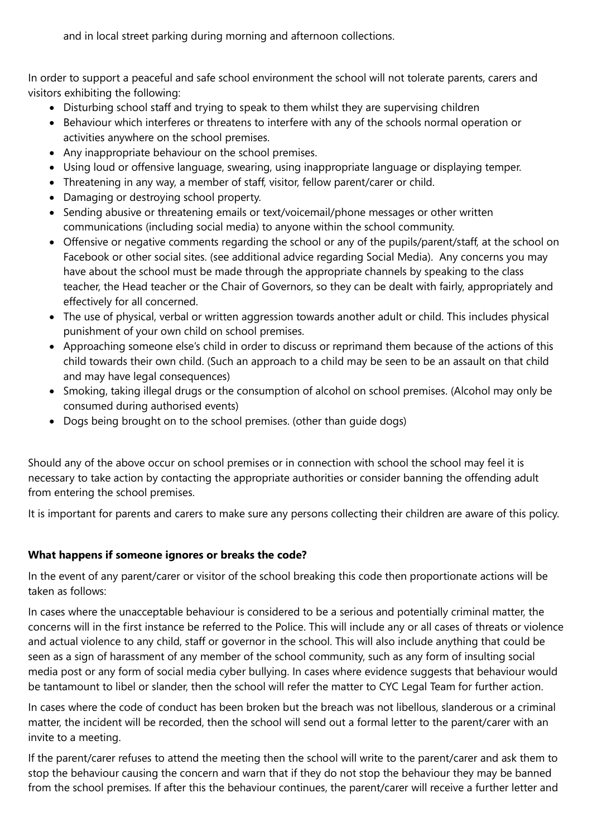and in local street parking during morning and afternoon collections.

In order to support a peaceful and safe school environment the school will not tolerate parents, carers and visitors exhibiting the following:

- Disturbing school staff and trying to speak to them whilst they are supervising children
- Behaviour which interferes or threatens to interfere with any of the schools normal operation or activities anywhere on the school premises.
- Any inappropriate behaviour on the school premises.
- Using loud or offensive language, swearing, using inappropriate language or displaying temper.
- Threatening in any way, a member of staff, visitor, fellow parent/carer or child.
- Damaging or destroying school property.
- Sending abusive or threatening emails or text/voicemail/phone messages or other written communications (including social media) to anyone within the school community.
- Offensive or negative comments regarding the school or any of the pupils/parent/staff, at the school on Facebook or other social sites. (see additional advice regarding Social Media). Any concerns you may have about the school must be made through the appropriate channels by speaking to the class teacher, the Head teacher or the Chair of Governors, so they can be dealt with fairly, appropriately and effectively for all concerned.
- The use of physical, verbal or written aggression towards another adult or child. This includes physical punishment of your own child on school premises.
- Approaching someone else's child in order to discuss or reprimand them because of the actions of this child towards their own child. (Such an approach to a child may be seen to be an assault on that child and may have legal consequences)
- Smoking, taking illegal drugs or the consumption of alcohol on school premises. (Alcohol may only be consumed during authorised events)
- Dogs being brought on to the school premises. (other than quide dogs)

Should any of the above occur on school premises or in connection with school the school may feel it is necessary to take action by contacting the appropriate authorities or consider banning the offending adult from entering the school premises.

It is important for parents and carers to make sure any persons collecting their children are aware of this policy.

## **What happens if someone ignores or breaks the code?**

In the event of any parent/carer or visitor of the school breaking this code then proportionate actions will be taken as follows:

In cases where the unacceptable behaviour is considered to be a serious and potentially criminal matter, the concerns will in the first instance be referred to the Police. This will include any or all cases of threats or violence and actual violence to any child, staff or governor in the school. This will also include anything that could be seen as a sign of harassment of any member of the school community, such as any form of insulting social media post or any form of social media cyber bullying. In cases where evidence suggests that behaviour would be tantamount to libel or slander, then the school will refer the matter to CYC Legal Team for further action.

In cases where the code of conduct has been broken but the breach was not libellous, slanderous or a criminal matter, the incident will be recorded, then the school will send out a formal letter to the parent/carer with an invite to a meeting.

If the parent/carer refuses to attend the meeting then the school will write to the parent/carer and ask them to stop the behaviour causing the concern and warn that if they do not stop the behaviour they may be banned from the school premises. If after this the behaviour continues, the parent/carer will receive a further letter and